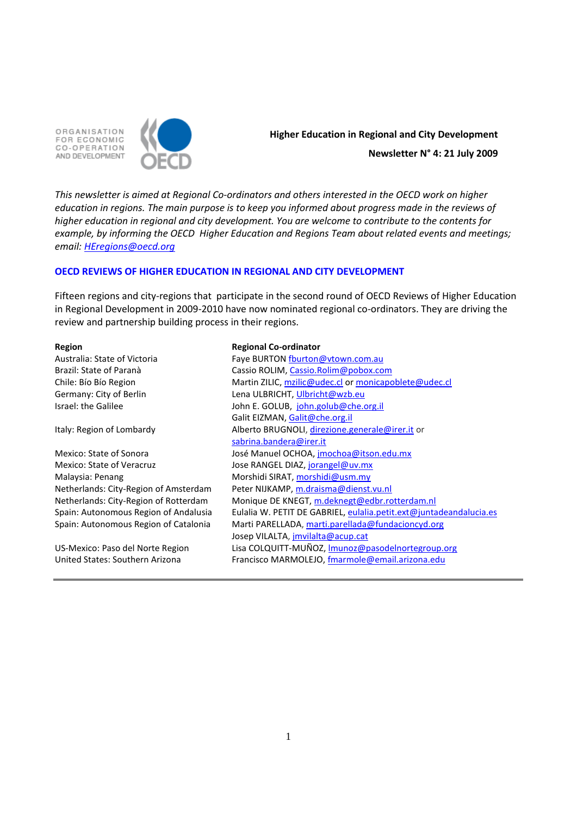ORGANISATION FOR ECONOMIC CO-OPERATION AND DEVELOPMENT



# **Higher Education in Regional and City Development Newsletter N° 4: 21 July 2009**

*This newsletter is aimed at Regional Co-ordinators and others interested in the OECD work on higher education in regions. The main purpose is to keep you informed about progress made in the reviews of higher education in regional and city development. You are welcome to contribute to the contents for example, by informing the OECD Higher Education and Regions Team about related events and meetings; email: [HEregions@oecd.org](mailto:HEregions@oecd.org)*

# **OECD REVIEWS OF HIGHER EDUCATION IN REGIONAL AND CITY DEVELOPMENT**

Fifteen regions and city-regions that participate in the second round of OECD Reviews of Higher Education in Regional Development in 2009-2010 have now nominated regional co-ordinators. They are driving the review and partnership building process in their regions.

Australia: State of Victoria Brazil: State of Paranà Chile: Bío Bío Region Germany: City of Berlin Israel: the Galilee

Italy: Region of Lombardy

Mexico: State of Sonora Mexico: State of Veracruz Malaysia: Penang Netherlands: City-Region of Amsterdam Netherlands: City-Region of Rotterdam Spain: Autonomous Region of Andalusia Spain: Autonomous Region of Catalonia

US-Mexico: Paso del Norte Region United States: Southern Arizona

#### **Region Regional Co-ordinator**

| Faye BURTON fburton@vtown.com.au                                   |  |  |  |  |
|--------------------------------------------------------------------|--|--|--|--|
| Cassio ROLIM, Cassio.Rolim@pobox.com                               |  |  |  |  |
| Martin ZILIC, mzilic@udec.cl or monicapoblete@udec.cl              |  |  |  |  |
| Lena ULBRICHT, Ulbricht@wzb.eu                                     |  |  |  |  |
| John E. GOLUB, john.golub@che.org.il                               |  |  |  |  |
| Galit EIZMAN, Galit@che.org.il                                     |  |  |  |  |
| Alberto BRUGNOLI, direzione.generale@irer.it or                    |  |  |  |  |
| sabrina.bandera@irer.it                                            |  |  |  |  |
| José Manuel OCHOA, <i>imochoa@itson.edu.mx</i>                     |  |  |  |  |
| Jose RANGEL DIAZ, jorangel@uv.mx                                   |  |  |  |  |
| Morshidi SIRAT, morshidi@usm.my                                    |  |  |  |  |
| Peter NIJKAMP, m.draisma@dienst.vu.nl                              |  |  |  |  |
| Monique DE KNEGT, m.deknegt@edbr.rotterdam.nl                      |  |  |  |  |
| Eulalia W. PETIT DE GABRIEL, eulalia.petit.ext@juntadeandalucia.es |  |  |  |  |
| Marti PARELLADA, marti.parellada@fundacioncyd.org                  |  |  |  |  |
| Josep VILALTA, jmvilalta@acup.cat                                  |  |  |  |  |
| Lisa COLQUITT-MUÑOZ, Imunoz@pasodelnortegroup.org                  |  |  |  |  |
| Francisco MARMOLEJO, fmarmole@email.arizona.edu                    |  |  |  |  |
|                                                                    |  |  |  |  |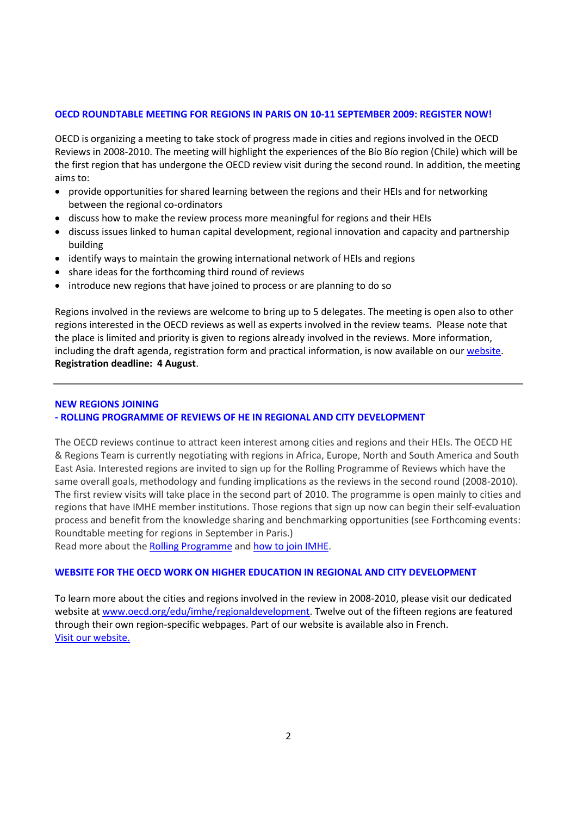### **OECD ROUNDTABLE MEETING FOR REGIONS IN PARIS ON 10-11 SEPTEMBER 2009: REGISTER NOW!**

OECD is organizing a meeting to take stock of progress made in cities and regions involved in the OECD Reviews in 2008-2010. The meeting will highlight the experiences of the Bío Bío region (Chile) which will be the first region that has undergone the OECD review visit during the second round. In addition, the meeting aims to:

- provide opportunities for shared learning between the regions and their HEIs and for networking between the regional co-ordinators
- discuss how to make the review process more meaningful for regions and their HEIs
- discuss issues linked to human capital development, regional innovation and capacity and partnership building
- identify ways to maintain the growing international network of HEIs and regions
- share ideas for the forthcoming third round of reviews
- introduce new regions that have joined to process or are planning to do so

Regions involved in the reviews are welcome to bring up to 5 delegates. The meeting is open also to other regions interested in the OECD reviews as well as experts involved in the review teams. Please note that the place is limited and priority is given to regions already involved in the reviews. More information, including the draft agenda, registration form and practical information, is now available on our [website.](http://www.oecd.org/document/12/0,3343,en_2649_35961291_42953676_1_1_1_1,00.html) **Registration deadline: 4 August**.

# **NEW REGIONS JOINING**

# **- ROLLING PROGRAMME OF REVIEWS OF HE IN REGIONAL AND CITY DEVELOPMENT**

The OECD reviews continue to attract keen interest among cities and regions and their HEIs. The OECD HE & Regions Team is currently negotiating with regions in Africa, Europe, North and South America and South East Asia. Interested regions are invited to sign up for the Rolling Programme of Reviews which have the same overall goals, methodology and funding implications as the reviews in the second round (2008-2010). The first review visits will take place in the second part of 2010. The programme is open mainly to cities and regions that have IMHE member institutions. Those regions that sign up now can begin their self-evaluation process and benefit from the knowledge sharing and benchmarking opportunities (see Forthcoming events: Roundtable meeting for regions in September in Paris.)

Read more about the [Rolling Programme](http://www.oecd.org/document/44/0,3343,en_2649_35961291_42432428_1_1_1_1,00.html) an[d how to join IMHE.](http://www.oecd.org/edu/imhe/join)

# **WEBSITE FOR THE OECD WORK ON HIGHER EDUCATION IN REGIONAL AND CITY DEVELOPMENT**

To learn more about the cities and regions involved in the review in 2008-2010, please visit our dedicated website a[t www.oecd.org/edu/imhe/regionaldevelopment.](http://www.oecd.org/edu/imhe/regionaldevelopment) Twelve out of the fifteen regions are featured through their own region-specific webpages. Part of our website is available also in French. Visit our [website.](http://www.oecd.org/edu/higher/regionaldevelopment)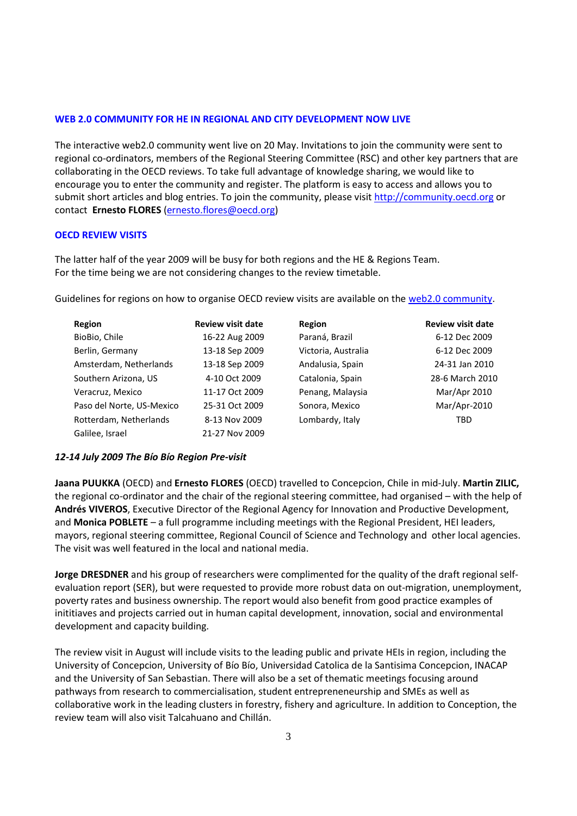### **WEB 2.0 COMMUNITY FOR HE IN REGIONAL AND CITY DEVELOPMENT NOW LIVE**

The interactive web2.0 community went live on 20 May. Invitations to join the community were sent to regional co-ordinators, members of the Regional Steering Committee (RSC) and other key partners that are collaborating in the OECD reviews. To take full advantage of knowledge sharing, we would like to encourage you to enter the community and register. The platform is easy to access and allows you to submit short articles and blog entries. To join the community, please visit [http://community.oecd.org](http://community.oecd.org/) or contact **Ernesto FLORES** [\(ernesto.flores@oecd.org\)](mailto:ernesto.flores@oecd.org)

#### **OECD REVIEW VISITS**

The latter half of the year 2009 will be busy for both regions and the HE & Regions Team. For the time being we are not considering changes to the review timetable.

Guidelines for regions on how to organise OECD review visits are available on th[e web2.0 community.](https://community.oecd.org/)

| Region                    | <b>Review visit date</b> | Region              | <b>Review visit date</b> |
|---------------------------|--------------------------|---------------------|--------------------------|
| BioBio, Chile             | 16-22 Aug 2009           | Paraná, Brazil      | 6-12 Dec 2009            |
| Berlin, Germany           | 13-18 Sep 2009           | Victoria, Australia | 6-12 Dec 2009            |
| Amsterdam, Netherlands    | 13-18 Sep 2009           | Andalusia, Spain    | 24-31 Jan 2010           |
| Southern Arizona, US      | 4-10 Oct 2009            | Catalonia, Spain    | 28-6 March 2010          |
| Veracruz, Mexico          | 11-17 Oct 2009           | Penang, Malaysia    | Mar/Apr 2010             |
| Paso del Norte, US-Mexico | 25-31 Oct 2009           | Sonora, Mexico      | Mar/Apr-2010             |
| Rotterdam, Netherlands    | 8-13 Nov 2009            | Lombardy, Italy     | <b>TBD</b>               |
| Galilee, Israel           | 21-27 Nov 2009           |                     |                          |

#### *12-14 July 2009 The Bío Bío Region Pre-visit*

**Jaana PUUKKA** (OECD) and **Ernesto FLORES** (OECD) travelled to Concepcion, Chile in mid-July. **Martin ZILIC,** the regional co-ordinator and the chair of the regional steering committee, had organised – with the help of **Andrés VIVEROS**, Executive Director of the Regional Agency for Innovation and Productive Development, and **Monica POBLETE** – a full programme including meetings with the Regional President, HEI leaders, mayors, regional steering committee, Regional Council of Science and Technology and other local agencies. The visit was well featured in the local and national media.

**Jorge DRESDNER** and his group of researchers were complimented for the quality of the draft regional selfevaluation report (SER), but were requested to provide more robust data on out-migration, unemployment, poverty rates and business ownership. The report would also benefit from good practice examples of inititiaves and projects carried out in human capital development, innovation, social and environmental development and capacity building.

The review visit in August will include visits to the leading public and private HEIs in region, including the University of Concepcion, University of Bío Bío, Universidad Catolica de la Santisima Concepcion, INACAP and the University of San Sebastian. There will also be a set of thematic meetings focusing around pathways from research to commercialisation, student entrepreneneurship and SMEs as well as collaborative work in the leading clusters in forestry, fishery and agriculture. In addition to Conception, the review team will also visit Talcahuano and Chillán.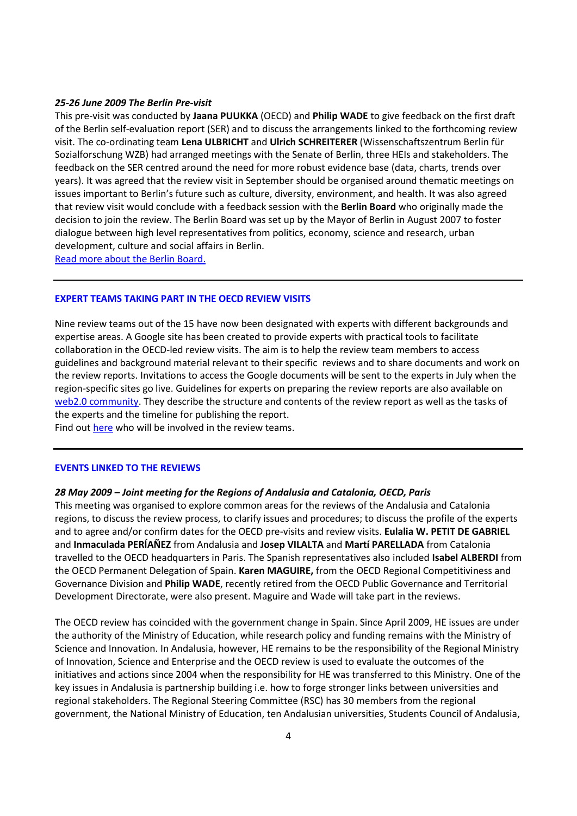#### *25-26 June 2009 The Berlin Pre-visit*

This pre-visit was conducted by **Jaana PUUKKA** (OECD) and **Philip WADE** to give feedback on the first draft of the Berlin self-evaluation report (SER) and to discuss the arrangements linked to the forthcoming review visit. The co-ordinating team **Lena ULBRICHT** and **Ulrich SCHREITERER** (Wissenschaftszentrum Berlin für Sozialforschung WZB) had arranged meetings with the Senate of Berlin, three HEIs and stakeholders. The feedback on the SER centred around the need for more robust evidence base (data, charts, trends over years). It was agreed that the review visit in September should be organised around thematic meetings on issues important to Berlin's future such as culture, diversity, environment, and health. It was also agreed that review visit would conclude with a feedback session with the **Berlin Board** who originally made the decision to join the review. The Berlin Board was set up by the Mayor of Berlin in August 2007 to foster dialogue between high level representatives from politics, economy, science and research, urban development, culture and social affairs in Berlin.

[Read more about the Berlin Board.](http://www.berlin.de/stadtdeswandels/berlinboard)

#### **EXPERT TEAMS TAKING PART IN THE OECD REVIEW VISITS**

Nine review teams out of the 15 have now been designated with experts with different backgrounds and expertise areas. A Google site has been created to provide experts with practical tools to facilitate collaboration in the OECD-led review visits. The aim is to help the review team members to access guidelines and background material relevant to their specific reviews and to share documents and work on the review reports. Invitations to access the Google documents will be sent to the experts in July when the region-specific sites go live. Guidelines for experts on preparing the review reports are also available on [web2.0 community.](https://community.oecd.org/community/regionaldevelopment) They describe the structure and contents of the review report as well as the tasks of the experts and the timeline for publishing the report.

Find out [here](http://www.oecd.org/document/16/0,3343,en_2649_35961291_42696720_1_1_1_1,00.html) who will be involved in the review teams.

#### **EVENTS LINKED TO THE REVIEWS**

### *28 May 2009 – Joint meeting for the Regions of Andalusia and Catalonia, OECD, Paris*

This meeting was organised to explore common areas for the reviews of the Andalusia and Catalonia regions, to discuss the review process, to clarify issues and procedures; to discuss the profile of the experts and to agree and/or confirm dates for the OECD pre-visits and review visits. **Eulalia W. PETIT DE GABRIEL** and **Inmaculada PERÍAÑEZ** from Andalusia and **Josep VILALTA** and **Martí PARELLADA** from Catalonia travelled to the OECD headquarters in Paris. The Spanish representatives also included **Isabel ALBERDI** from the OECD Permanent Delegation of Spain. **Karen MAGUIRE,** from the OECD Regional Competitiviness and Governance Division and **Philip WADE**, recently retired from the OECD Public Governance and Territorial Development Directorate, were also present. Maguire and Wade will take part in the reviews.

The OECD review has coincided with the government change in Spain. Since April 2009, HE issues are under the authority of the Ministry of Education, while research policy and funding remains with the Ministry of Science and Innovation. In Andalusia, however, HE remains to be the responsibility of the Regional Ministry of Innovation, Science and Enterprise and the OECD review is used to evaluate the outcomes of the initiatives and actions since 2004 when the responsibility for HE was transferred to this Ministry. One of the key issues in Andalusia is partnership building i.e. how to forge stronger links between universities and regional stakeholders. The Regional Steering Committee (RSC) has 30 members from the regional government, the National Ministry of Education, ten Andalusian universities, Students Council of Andalusia,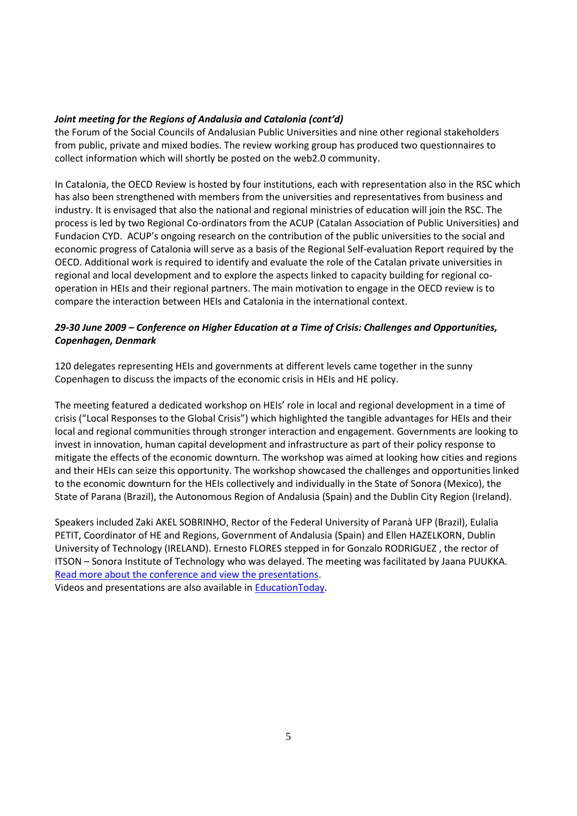# *Joint meeting for the Regions of Andalusia and Catalonia (cont'd)*

the Forum of the Social Councils of Andalusian Public Universities and nine other regional stakeholders from public, private and mixed bodies. The review working group has produced two questionnaires to collect information which will shortly be posted on the web2.0 community.

In Catalonia, the OECD Review is hosted by four institutions, each with representation also in the RSC which has also been strengthened with members from the universities and representatives from business and industry. It is envisaged that also the national and regional ministries of education will join the RSC. The process is led by two Regional Co-ordinators from the ACUP (Catalan Association of Public Universities) and Fundacion CYD. ACUP's ongoing research on the contribution of the public universities to the social and economic progress of Catalonia will serve as a basis of the Regional Self-evaluation Report required by the OECD. Additional work is required to identify and evaluate the role of the Catalan private universities in regional and local development and to explore the aspects linked to capacity building for regional cooperation in HEIs and their regional partners. The main motivation to engage in the OECD review is to compare the interaction between HEIs and Catalonia in the international context.

# *29-30 June 2009 – Conference on Higher Education at a Time of Crisis: Challenges and Opportunities, Copenhagen, Denmark*

120 delegates representing HEIs and governments at different levels came together in the sunny Copenhagen to discuss the impacts of the economic crisis in HEIs and HE policy.

The meeting featured a dedicated workshop on HEIs' role in local and regional development in a time of crisis ("Local Responses to the Global Crisis") which highlighted the tangible advantages for HEIs and their local and regional communities through stronger interaction and engagement. Governments are looking to invest in innovation, human capital development and infrastructure as part of their policy response to mitigate the effects of the economic downturn. The workshop was aimed at looking how cities and regions and their HEIs can seize this opportunity. The workshop showcased the challenges and opportunities linked to the economic downturn for the HEIs collectively and individually in the State of Sonora (Mexico), the State of Parana (Brazil), the Autonomous Region of Andalusia (Spain) and the Dublin City Region (Ireland).

Speakers included Zaki AKEL SOBRINHO, Rector of the Federal University of Paranà UFP (Brazil), Eulalia PETIT, Coordinator of HE and Regions, Government of Andalusia (Spain) and Ellen HAZELKORN, Dublin University of Technology (IRELAND). Ernesto FLORES stepped in for Gonzalo RODRIGUEZ , the rector of ITSON – Sonora Institute of Technology who was delayed. The meeting was facilitated by Jaana PUUKKA. [Read more about the conference and view the presentations.](https://conference.cbs.dk/index.php/oecd/oecd/schedConf/presentations)

Videos and presentations are also available in **EducationToday**.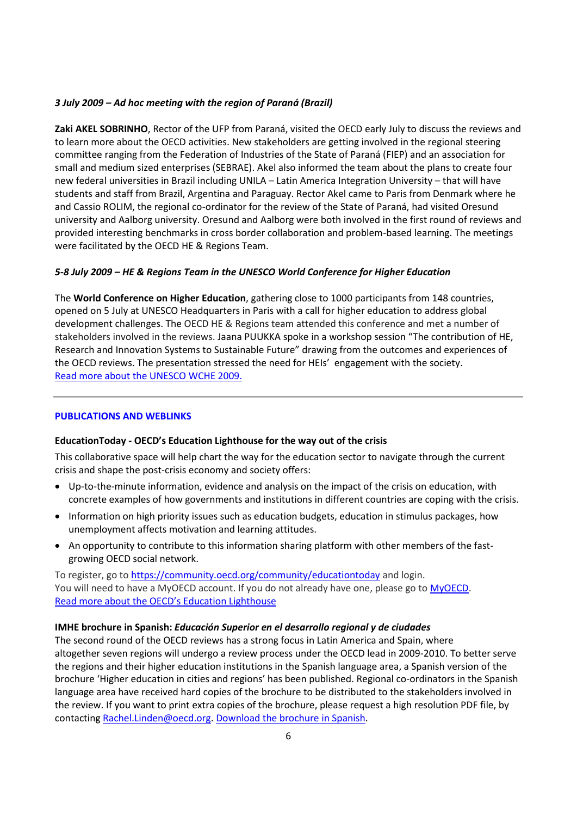# *3 July 2009 – Ad hoc meeting with the region of Paraná (Brazil)*

**Zaki AKEL SOBRINHO**, Rector of the UFP from Paraná, visited the OECD early July to discuss the reviews and to learn more about the OECD activities. New stakeholders are getting involved in the regional steering committee ranging from the Federation of Industries of the State of Paraná (FIEP) and an association for small and medium sized enterprises (SEBRAE). Akel also informed the team about the plans to create four new federal universities in Brazil including UNILA – Latin America Integration University – that will have students and staff from Brazil, Argentina and Paraguay. Rector Akel came to Paris from Denmark where he and Cassio ROLIM, the regional co-ordinator for the review of the State of Paraná, had visited Oresund university and Aalborg university. Oresund and Aalborg were both involved in the first round of reviews and provided interesting benchmarks in cross border collaboration and problem-based learning. The meetings were facilitated by the OECD HE & Regions Team.

# *5-8 July 2009 – HE & Regions Team in the UNESCO World Conference for Higher Education*

The **World Conference on Higher Education**, gathering close to 1000 participants from 148 countries, opened on 5 July at UNESCO Headquarters in Paris with a call for higher education to address global development challenges. The OECD HE & Regions team attended this conference and met a number of stakeholders involved in the reviews. Jaana PUUKKA spoke in a workshop session "The contribution of HE, Research and Innovation Systems to Sustainable Future" drawing from the outcomes and experiences of the OECD reviews. The presentation stressed the need for HEIs' engagement with the society. [Read more about the UNESCO WCHE](http://www.unesco.org/en/wche2009) 2009.

# **PUBLICATIONS AND WEBLINKS**

# **EducationToday - OECD's Education Lighthouse for the way out of the crisis**

This collaborative space will help chart the way for the education sector to navigate through the current crisis and shape the post-crisis economy and society offers:

- Up-to-the-minute information, evidence and analysis on the impact of the crisis on education, with concrete examples of how governments and institutions in different countries are coping with the crisis.
- Information on high priority issues such as education budgets, education in stimulus packages, how unemployment affects motivation and learning attitudes.
- An opportunity to contribute to this information sharing platform with other members of the fastgrowing OECD social network.

To register, go to<https://community.oecd.org/community/educationtoday> and login. You will need to have a MyOECD account. If you do not already have one, please go to [MyOECD.](http://www.oecd.org/document/54/0,3343,en_2649_33723_2699446_1_1_1_1,00.html) [Read more about the OECD's Education Lighthouse](http://www.oecd.org/document/61/0,3343,en_2649_33723_42992189_1_1_1_1,00.html)

# **IMHE brochure in Spanish:** *[Educación Superior en el desarrollo regional y de ciudades](http://www.oecd.org/dataoecd/33/26/42945795.pdf)*

The second round of the OECD reviews has a strong focus in Latin America and Spain, where altogether seven regions will undergo a review process under the OECD lead in 2009-2010. To better serve the regions and their higher education institutions in the Spanish language area, a Spanish version of the brochure 'Higher education in cities and regions' has been published. Regional co-ordinators in the Spanish language area have received hard copies of the brochure to be distributed to the stakeholders involved in the review. If you want to print extra copies of the brochure, please request a high resolution PDF file, by contacting [Rachel.Linden@oecd.org.](mailto:Rachel.Linden@oecd.org) [Download the brochure in Spanish.](http://www.oecd.org/document/30/0,3343,en_2649_35961291_42945694_1_1_1_1,00.html)